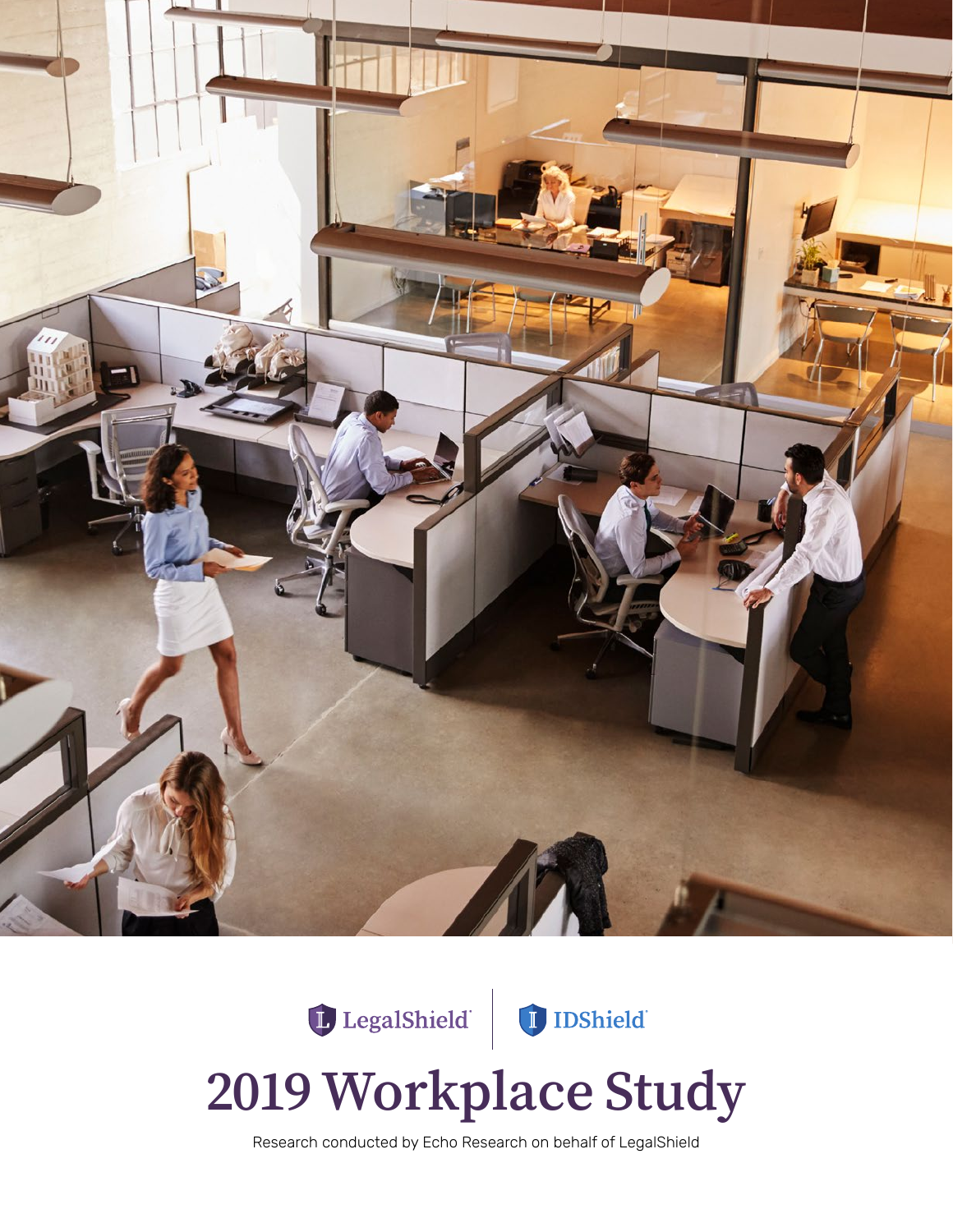

# LegalShield DShield



# **2019 Workplace Study**

Research conducted by Echo Research on behalf of LegalShield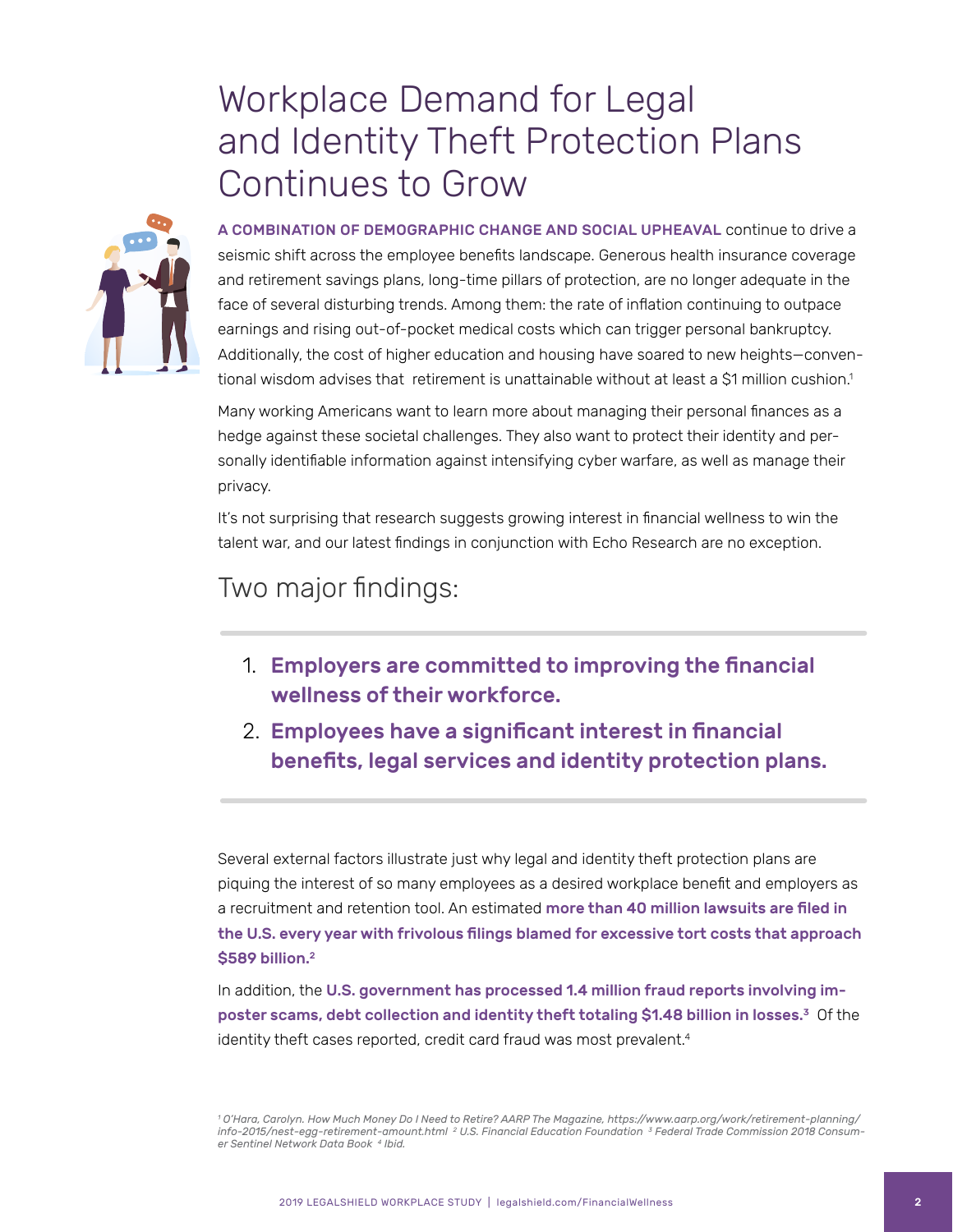#### Workplace Demand for Legal and Identity Theft Protection Plans Continues to Grow



A COMBINATION OF DEMOGRAPHIC CHANGE AND SOCIAL UPHEAVAL continue to drive a seismic shift across the employee benefits landscape. Generous health insurance coverage and retirement savings plans, long-time pillars of protection, are no longer adequate in the face of several disturbing trends. Among them: the rate of inflation continuing to outpace earnings and rising out-of-pocket medical costs which can trigger personal bankruptcy. Additionally, the cost of higher education and housing have soared to new heights—conventional wisdom advises that retirement is unattainable without at least a \$1 million cushion.<sup>1</sup>

Many working Americans want to learn more about managing their personal finances as a hedge against these societal challenges. They also want to protect their identity and personally identifiable information against intensifying cyber warfare, as well as manage their privacy.

It's not surprising that research suggests growing interest in financial wellness to win the talent war, and our latest findings in conjunction with Echo Research are no exception.

#### Two major findings:

- 1. Employers are committed to improving the financial wellness of their workforce.
- 2. Employees have a significant interest in financial benefits, legal services and identity protection plans.

Several external factors illustrate just why legal and identity theft protection plans are piquing the interest of so many employees as a desired workplace benefit and employers as a recruitment and retention tool. An estimated more than 40 million lawsuits are filed in the U.S. every year with frivolous filings blamed for excessive tort costs that approach \$589 billion.<sup>2</sup>

In addition, the U.S. government has processed 1.4 million fraud reports involving imposter scams, debt collection and identity theft totaling \$1.48 billion in losses.<sup>3</sup> Of the identity theft cases reported, credit card fraud was most prevalent.<sup>4</sup>

<sup>1</sup> O'Hara, Carolyn. How Much Money Do I Need to Retire? AARP The Magazine, https://www.aarp.org/work/retirement-planning/<br>info-2015/nest-egg-retirement-amount.html <sup>2</sup> U.S. Financial Education Foundation <sup>3</sup> Federal Trade *er Sentinel Network Data Book 4 Ibid.*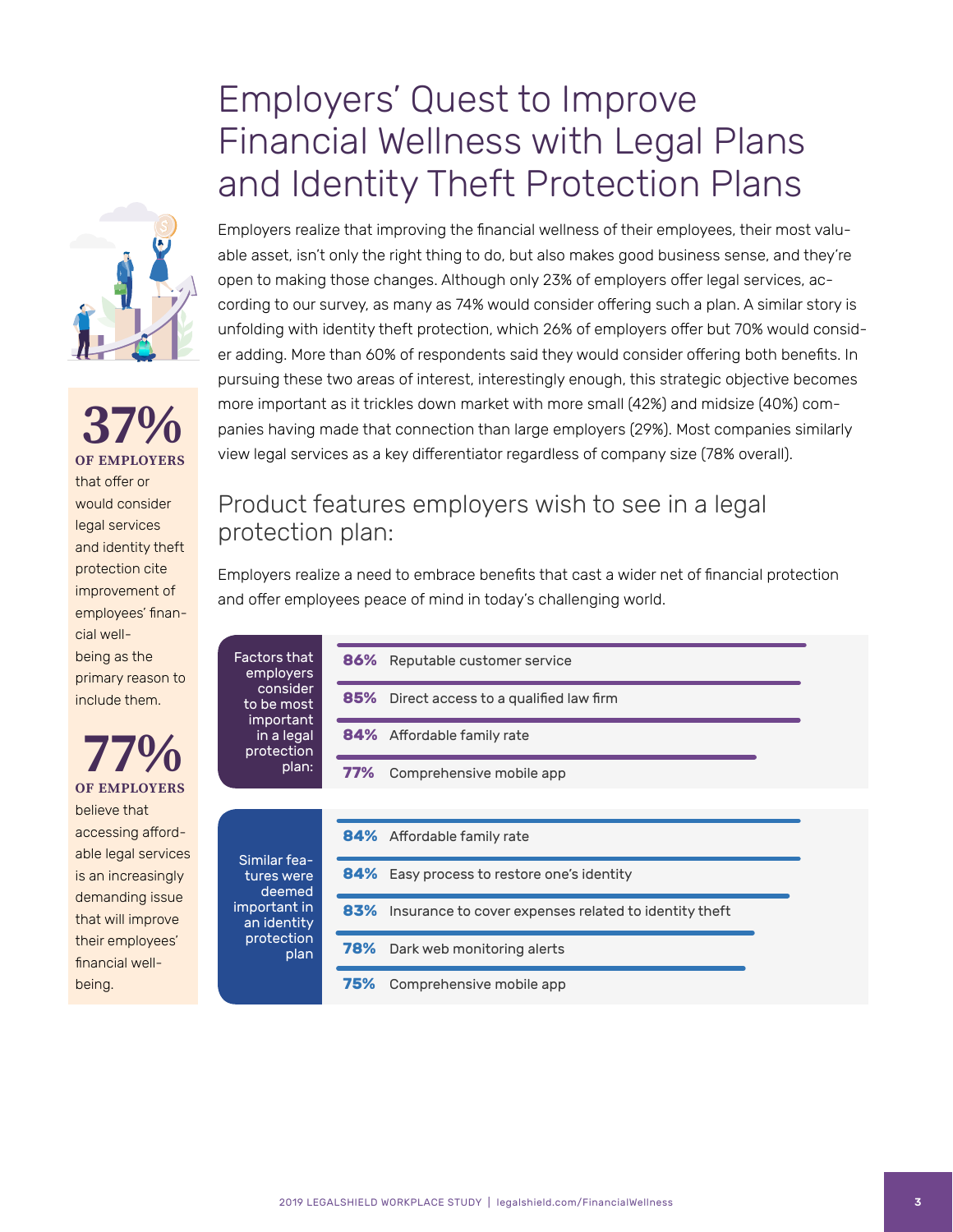#### Employers' Quest to Improve Financial Wellness with Legal Plans and Identity Theft Protection Plans

**OF EMPLOYERS 37%** that offer or would consider legal services and identity theft protection cite improvement of employees' financial wellbeing as the primary reason to include them.

Fact  $em$ 

> to im

pro

Sim tur

impo an pro

**77%** believe that accessing affordable legal services is an increasingly demanding issue that will improve their employees' financial wellbeing.

Employers realize that improving the financial wellness of their employees, their most valuable asset, isn't only the right thing to do, but also makes good business sense, and they're open to making those changes. Although only 23% of employers offer legal services, according to our survey, as many as 74% would consider offering such a plan. A similar story is unfolding with identity theft protection, which 26% of employers offer but 70% would consider adding. More than 60% of respondents said they would consider offering both benefits. In pursuing these two areas of interest, interestingly enough, this strategic objective becomes more important as it trickles down market with more small (42%) and midsize (40%) companies having made that connection than large employers (29%). Most companies similarly view legal services as a key differentiator regardless of company size (78% overall).

#### Product features employers wish to see in a legal protection plan:

Employers realize a need to embrace benefits that cast a wider net of financial protection and offer employees peace of mind in today's challenging world.

| tors that<br>mployers<br>consider<br>be most<br>nportant<br>in a legal l<br>otection:<br>plan: | <b>86%</b> Reputable customer service                     |
|------------------------------------------------------------------------------------------------|-----------------------------------------------------------|
|                                                                                                | <b>85%</b> Direct access to a qualified law firm          |
|                                                                                                | <b>84%</b> Affordable family rate                         |
|                                                                                                | 77%<br>Comprehensive mobile app                           |
|                                                                                                |                                                           |
| nilar fea-<br><b>res</b> were<br>deemed<br>ortant in<br>ا identity<br>otection<br>plan         | 84% Affordable family rate                                |
|                                                                                                | <b>84%</b> Easy process to restore one's identity         |
|                                                                                                | 83% Insurance to cover expenses related to identity theft |
|                                                                                                | 78%<br>Dark web monitoring alerts                         |
|                                                                                                |                                                           |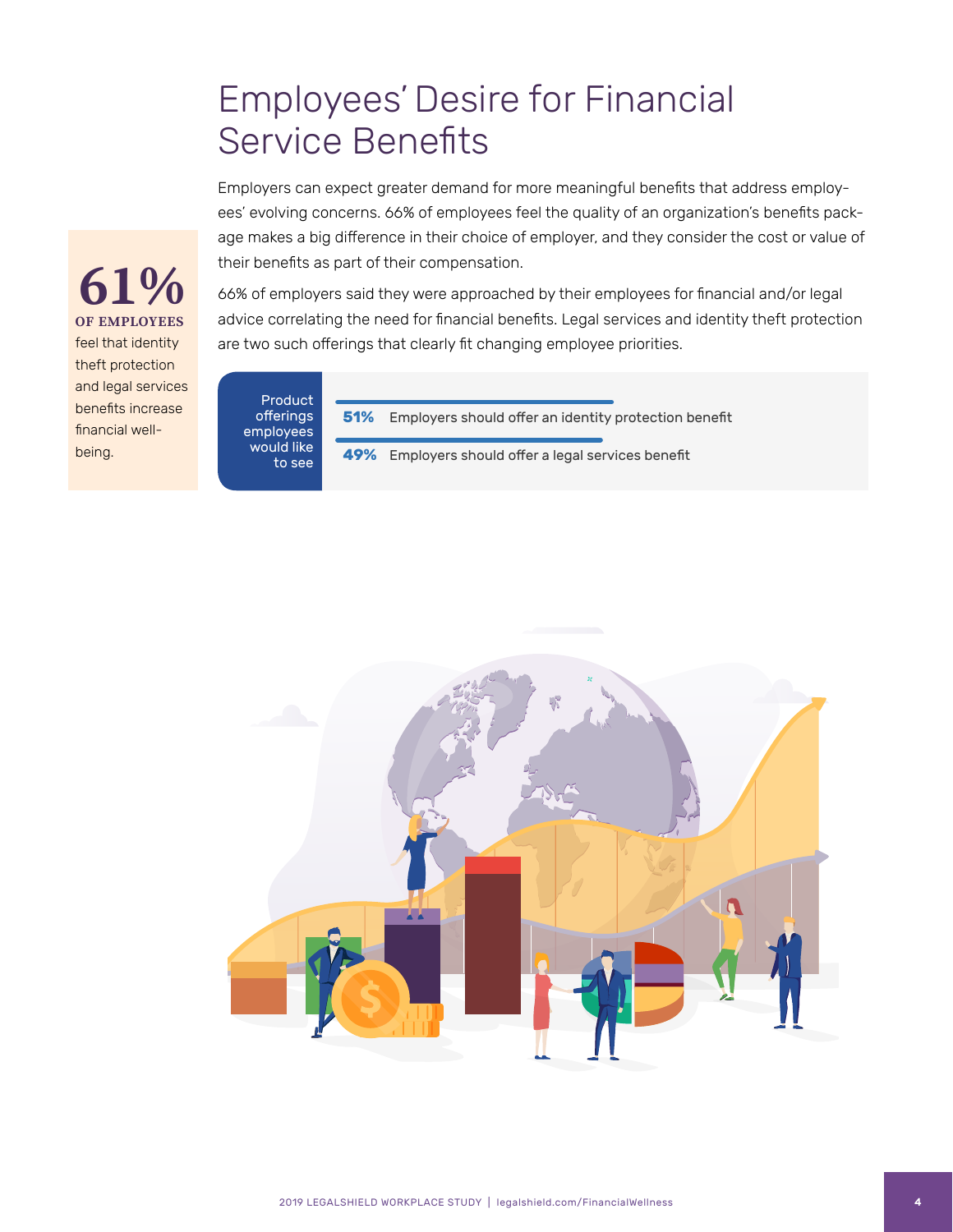#### Employees' Desire for Financial Service Benefits

Employers can expect greater demand for more meaningful benefits that address employees' evolving concerns. 66% of employees feel the quality of an organization's benefits package makes a big difference in their choice of employer, and they consider the cost or value of their benefits as part of their compensation.

66% of employers said they were approached by their employees for financial and/or legal advice correlating the need for financial benefits. Legal services and identity theft protection are two such offerings that clearly fit changing employee priorities.

Product offerings employees would like to see

**OF EMPLOYEES**

feel that identity theft protection and legal services benefits increase financial well-

being.

**61%**

**51%** Employers should offer an identity protection benefit

**49%** Employers should offer a legal services benefit

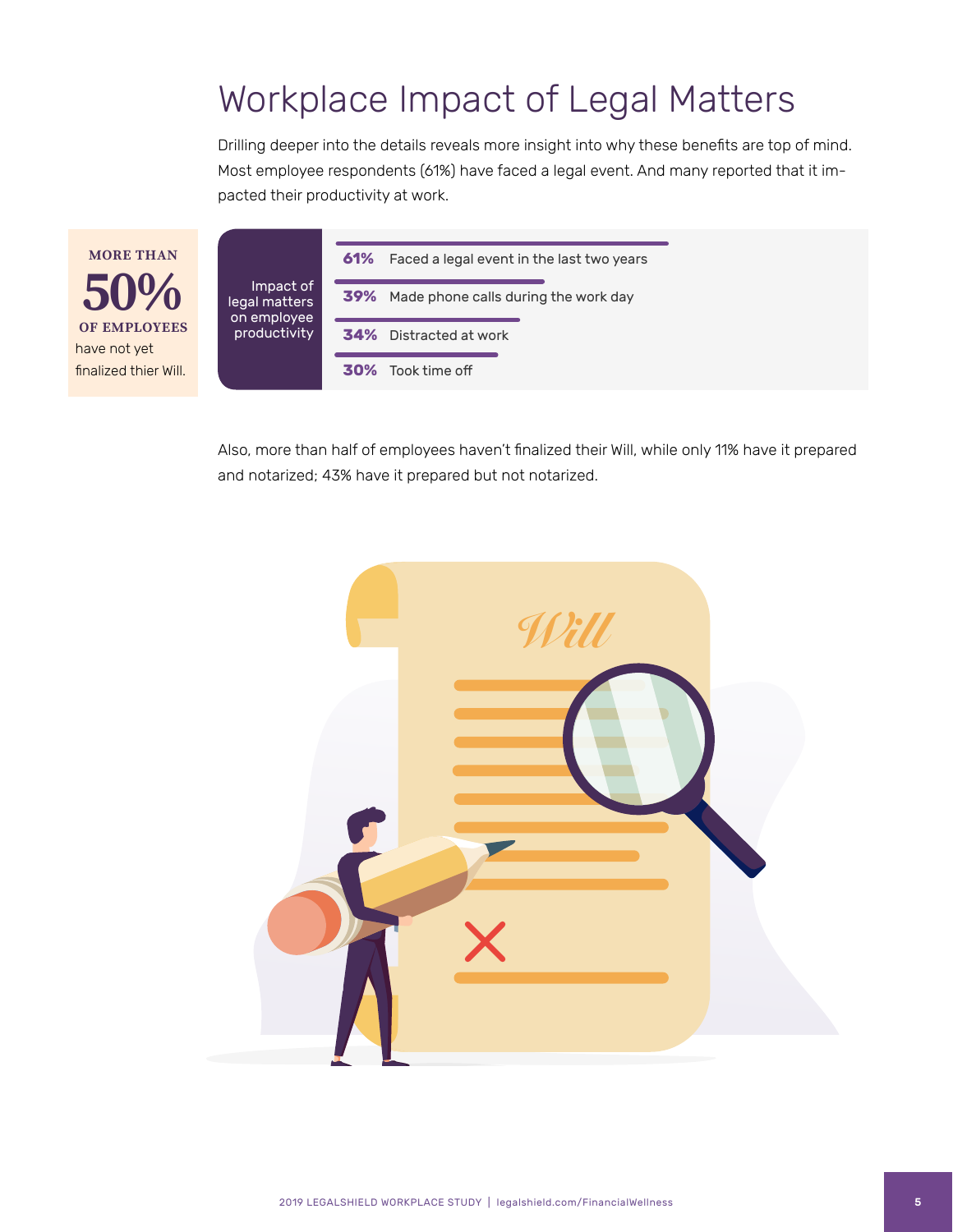### Workplace Impact of Legal Matters

Drilling deeper into the details reveals more insight into why these benefits are top of mind. Most employee respondents (61%) have faced a legal event. And many reported that it impacted their productivity at work.

**MORE THAN 50%** have not yet finalized thier Will.

Impact of legal matters on employee productivity

|                               | <b>61%</b> Faced a legal event in the last two years |  |  |
|-------------------------------|------------------------------------------------------|--|--|
|                               | <b>39%</b> Made phone calls during the work day      |  |  |
| <b>34%</b> Distracted at work |                                                      |  |  |
|                               | <b>30%</b> Took time off                             |  |  |

Also, more than half of employees haven't finalized their Will, while only 11% have it prepared and notarized; 43% have it prepared but not notarized.

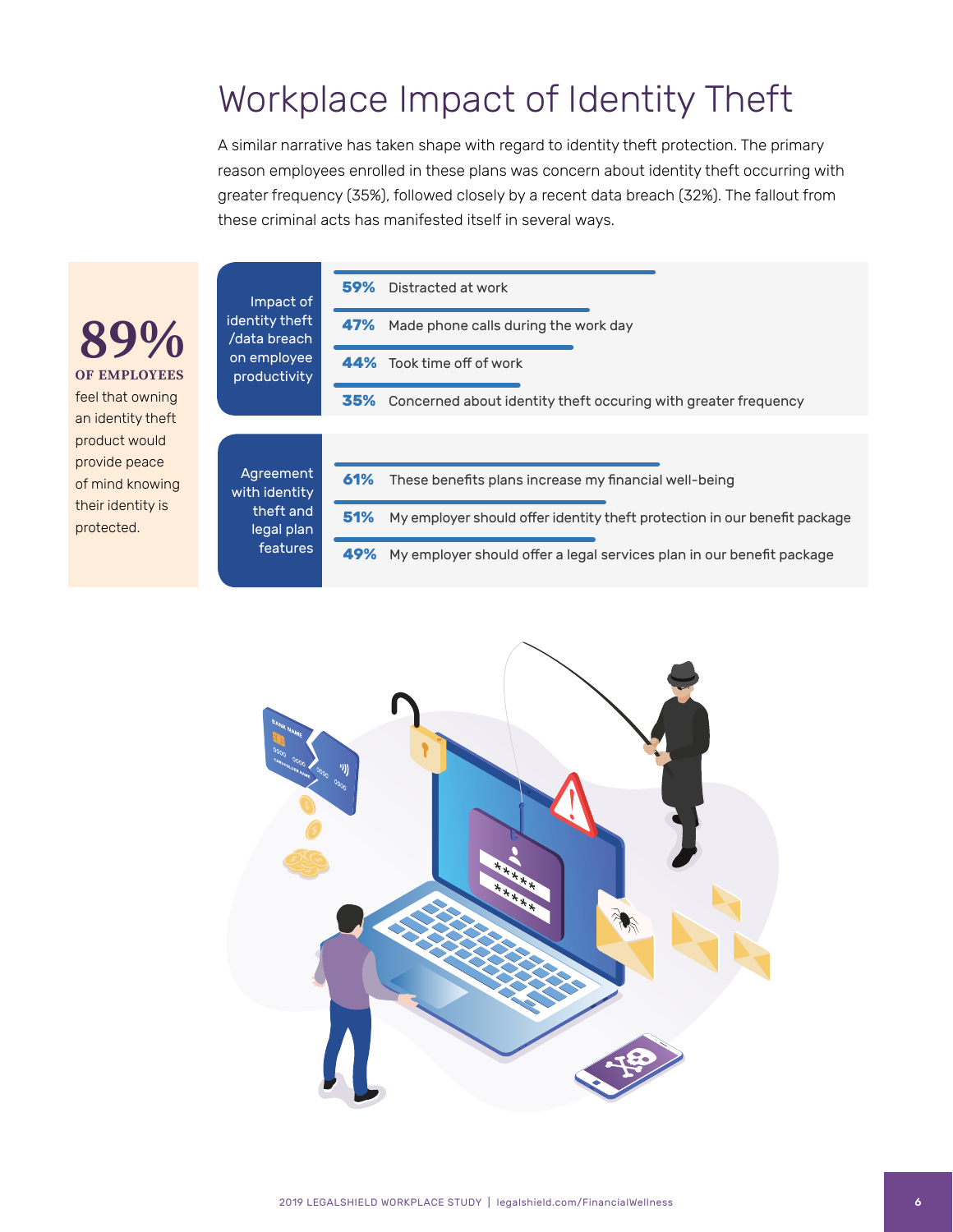## Workplace Impact of Identity Theft

A similar narrative has taken shape with regard to identity theft protection. The primary reason employees enrolled in these plans was concern about identity theft occurring with greater frequency (35%), followed closely by a recent data breach (32%). The fallout from these criminal acts has manifested itself in several ways.

|                                    | Impact of<br>identity theft<br>/data breach<br>on employee<br>productivity | Distracted at work<br>59%                                                        |
|------------------------------------|----------------------------------------------------------------------------|----------------------------------------------------------------------------------|
| 89%<br><b>OF EMPLOYEES</b>         |                                                                            | 47%<br>Made phone calls during the work day                                      |
|                                    |                                                                            | Took time off of work<br>44%                                                     |
| feel that owning                   |                                                                            | 35%<br>Concerned about identity theft occuring with greater frequency            |
| an identity theft<br>product would |                                                                            |                                                                                  |
| provide peace<br>of mind knowing   | Agreement<br>with identity<br>theft and<br>legal plan<br>features          | 61%<br>These benefits plans increase my financial well-being                     |
| their identity is<br>protected.    |                                                                            | 51%<br>My employer should offer identity theft protection in our benefit package |
|                                    |                                                                            | 49%<br>My employer should offer a legal services plan in our benefit package     |